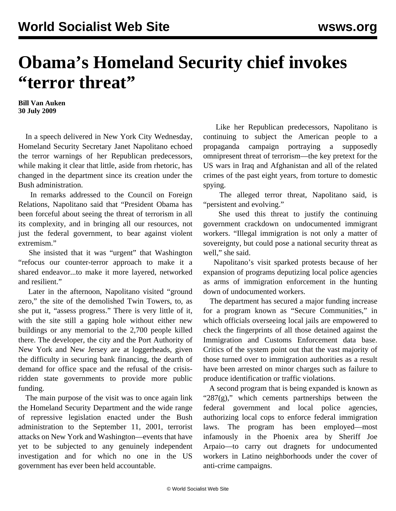## **Obama's Homeland Security chief invokes "terror threat"**

**Bill Van Auken 30 July 2009**

 In a speech delivered in New York City Wednesday, Homeland Security Secretary Janet Napolitano echoed the terror warnings of her Republican predecessors, while making it clear that little, aside from rhetoric, has changed in the department since its creation under the Bush administration.

 In remarks addressed to the Council on Foreign Relations, Napolitano said that "President Obama has been forceful about seeing the threat of terrorism in all its complexity, and in bringing all our resources, not just the federal government, to bear against violent extremism."

 She insisted that it was "urgent" that Washington "refocus our counter-terror approach to make it a shared endeavor...to make it more layered, networked and resilient."

 Later in the afternoon, Napolitano visited "ground zero," the site of the demolished Twin Towers, to, as she put it, "assess progress." There is very little of it, with the site still a gaping hole without either new buildings or any memorial to the 2,700 people killed there. The developer, the city and the Port Authority of New York and New Jersey are at loggerheads, given the difficulty in securing bank financing, the dearth of demand for office space and the refusal of the crisisridden state governments to provide more public funding.

 The main purpose of the visit was to once again link the Homeland Security Department and the wide range of repressive legislation enacted under the Bush administration to the September 11, 2001, terrorist attacks on New York and Washington—events that have yet to be subjected to any genuinely independent investigation and for which no one in the US government has ever been held accountable.

 Like her Republican predecessors, Napolitano is continuing to subject the American people to a propaganda campaign portraying a supposedly omnipresent threat of terrorism—the key pretext for the US wars in Iraq and Afghanistan and all of the related crimes of the past eight years, from torture to domestic spying.

 The alleged terror threat, Napolitano said, is "persistent and evolving."

 She used this threat to justify the continuing government crackdown on undocumented immigrant workers. "Illegal immigration is not only a matter of sovereignty, but could pose a national security threat as well," she said.

 Napolitano's visit sparked protests because of her expansion of programs deputizing local police agencies as arms of immigration enforcement in the hunting down of undocumented workers.

 The department has secured a major funding increase for a program known as "Secure Communities," in which officials overseeing local jails are empowered to check the fingerprints of all those detained against the Immigration and Customs Enforcement data base. Critics of the system point out that the vast majority of those turned over to immigration authorities as a result have been arrested on minor charges such as failure to produce identification or traffic violations.

 A second program that is being expanded is known as " $287(g)$ ," which cements partnerships between the federal government and local police agencies, authorizing local cops to enforce federal immigration laws. The program has been employed—most infamously in the Phoenix area by Sheriff Joe Arpaio—to carry out dragnets for undocumented workers in Latino neighborhoods under the cover of anti-crime campaigns.